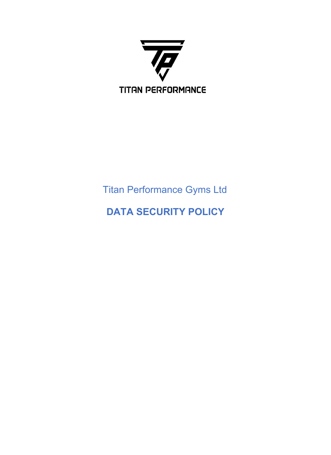

# Titan Performance Gyms Ltd

## **DATA SECURITY POLICY**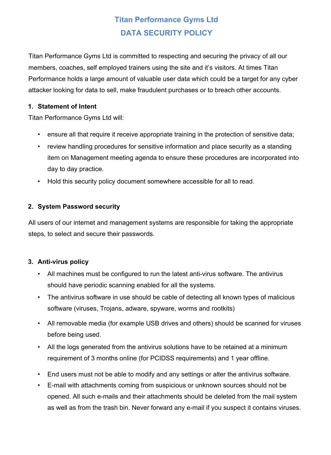### **Titan Performance Gyms Ltd DATA SECURITY POLICY**

Titan Performance Gyms Ltd is committed to respecting and securing the privacy of all our members, coaches, self employed trainers using the site and it's visitors. At times Titan Performance holds a large amount of valuable user data which could be a target for any cyber attacker looking for data to sell, make fraudulent purchases or to breach other accounts.

#### **1. Statement of Intent**

Titan Performance Gyms Ltd will:

- ensure all that require it receive appropriate training in the protection of sensitive data;
- review handling procedures for sensitive information and place security as a standing item on Management meeting agenda to ensure these procedures are incorporated into day to day practice.
- Hold this security policy document somewhere accessible for all to read.

#### **2. System Password security**

All users of our internet and management systems are responsible for taking the appropriate steps, to select and secure their passwords.

#### **3. Anti-virus policy**

- All machines must be configured to run the latest anti-virus software. The antivirus should have periodic scanning enabled for all the systems.
- The antivirus software in use should be cable of detecting all known types of malicious software (viruses, Trojans, adware, spyware, worms and rootkits)
- All removable media (for example USB drives and others) should be scanned for viruses before being used.
- All the logs generated from the antivirus solutions have to be retained at a minimum requirement of 3 months online (for PCIDSS requirements) and 1 year offline.
- End users must not be able to modify and any settings or alter the antivirus software.
- E-mail with attachments coming from suspicious or unknown sources should not be opened. All such e-mails and their attachments should be deleted from the mail system as well as from the trash bin. Never forward any e-mail if you suspect it contains viruses.